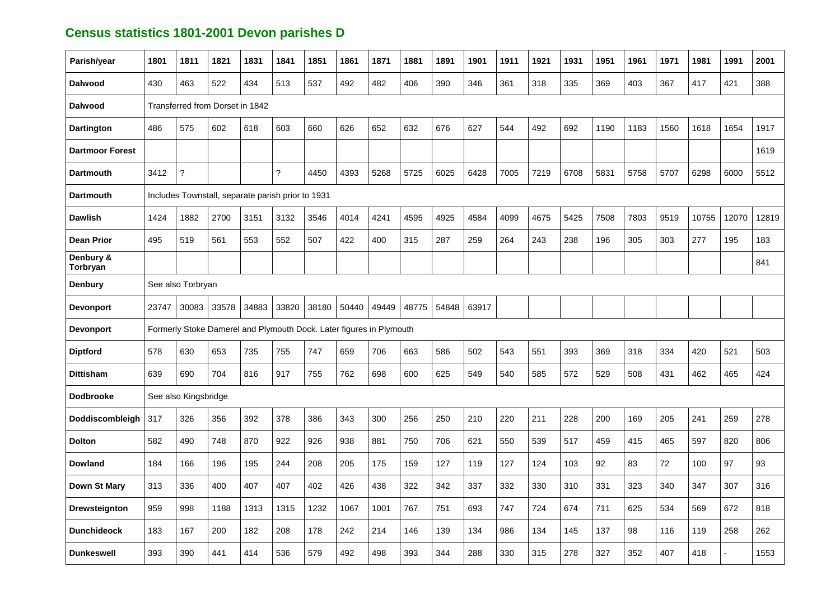## **Census statistics 1801-2001 Devon parishes D**

| Parish/year            | 1801  | 1811                                                                | 1821  | 1831  | 1841  | 1851  | 1861  | 1871  | 1881  | 1891  | 1901  | 1911 | 1921 | 1931 | 1951 | 1961 | 1971 | 1981  | 1991  | 2001  |
|------------------------|-------|---------------------------------------------------------------------|-------|-------|-------|-------|-------|-------|-------|-------|-------|------|------|------|------|------|------|-------|-------|-------|
| <b>Dalwood</b>         | 430   | 463                                                                 | 522   | 434   | 513   | 537   | 492   | 482   | 406   | 390   | 346   | 361  | 318  | 335  | 369  | 403  | 367  | 417   | 421   | 388   |
| <b>Dalwood</b>         |       | Transferred from Dorset in 1842                                     |       |       |       |       |       |       |       |       |       |      |      |      |      |      |      |       |       |       |
| <b>Dartington</b>      | 486   | 575                                                                 | 602   | 618   | 603   | 660   | 626   | 652   | 632   | 676   | 627   | 544  | 492  | 692  | 1190 | 1183 | 1560 | 1618  | 1654  | 1917  |
| <b>Dartmoor Forest</b> |       |                                                                     |       |       |       |       |       |       |       |       |       |      |      |      |      |      |      |       |       | 1619  |
| <b>Dartmouth</b>       | 3412  | $\tilde{?}$                                                         |       |       | ?     | 4450  | 4393  | 5268  | 5725  | 6025  | 6428  | 7005 | 7219 | 6708 | 5831 | 5758 | 5707 | 6298  | 6000  | 5512  |
| <b>Dartmouth</b>       |       | Includes Townstall, separate parish prior to 1931                   |       |       |       |       |       |       |       |       |       |      |      |      |      |      |      |       |       |       |
| <b>Dawlish</b>         | 1424  | 1882                                                                | 2700  | 3151  | 3132  | 3546  | 4014  | 4241  | 4595  | 4925  | 4584  | 4099 | 4675 | 5425 | 7508 | 7803 | 9519 | 10755 | 12070 | 12819 |
| <b>Dean Prior</b>      | 495   | 519                                                                 | 561   | 553   | 552   | 507   | 422   | 400   | 315   | 287   | 259   | 264  | 243  | 238  | 196  | 305  | 303  | 277   | 195   | 183   |
| Denbury &<br>Torbryan  |       |                                                                     |       |       |       |       |       |       |       |       |       |      |      |      |      |      |      |       |       | 841   |
| <b>Denbury</b>         |       | See also Torbryan                                                   |       |       |       |       |       |       |       |       |       |      |      |      |      |      |      |       |       |       |
| <b>Devonport</b>       | 23747 | 30083                                                               | 33578 | 34883 | 33820 | 38180 | 50440 | 49449 | 48775 | 54848 | 63917 |      |      |      |      |      |      |       |       |       |
| <b>Devonport</b>       |       | Formerly Stoke Damerel and Plymouth Dock. Later figures in Plymouth |       |       |       |       |       |       |       |       |       |      |      |      |      |      |      |       |       |       |
| <b>Diptford</b>        | 578   | 630                                                                 | 653   | 735   | 755   | 747   | 659   | 706   | 663   | 586   | 502   | 543  | 551  | 393  | 369  | 318  | 334  | 420   | 521   | 503   |
| <b>Dittisham</b>       | 639   | 690                                                                 | 704   | 816   | 917   | 755   | 762   | 698   | 600   | 625   | 549   | 540  | 585  | 572  | 529  | 508  | 431  | 462   | 465   | 424   |
| <b>Dodbrooke</b>       |       | See also Kingsbridge                                                |       |       |       |       |       |       |       |       |       |      |      |      |      |      |      |       |       |       |
| Doddiscombleigh        | 317   | 326                                                                 | 356   | 392   | 378   | 386   | 343   | 300   | 256   | 250   | 210   | 220  | 211  | 228  | 200  | 169  | 205  | 241   | 259   | 278   |
| <b>Dolton</b>          | 582   | 490                                                                 | 748   | 870   | 922   | 926   | 938   | 881   | 750   | 706   | 621   | 550  | 539  | 517  | 459  | 415  | 465  | 597   | 820   | 806   |
| <b>Dowland</b>         | 184   | 166                                                                 | 196   | 195   | 244   | 208   | 205   | 175   | 159   | 127   | 119   | 127  | 124  | 103  | 92   | 83   | 72   | 100   | 97    | 93    |
| Down St Mary           | 313   | 336                                                                 | 400   | 407   | 407   | 402   | 426   | 438   | 322   | 342   | 337   | 332  | 330  | 310  | 331  | 323  | 340  | 347   | 307   | 316   |
| <b>Drewsteignton</b>   | 959   | 998                                                                 | 1188  | 1313  | 1315  | 1232  | 1067  | 1001  | 767   | 751   | 693   | 747  | 724  | 674  | 711  | 625  | 534  | 569   | 672   | 818   |
| <b>Dunchideock</b>     | 183   | 167                                                                 | 200   | 182   | 208   | 178   | 242   | 214   | 146   | 139   | 134   | 986  | 134  | 145  | 137  | 98   | 116  | 119   | 258   | 262   |
| <b>Dunkeswell</b>      | 393   | 390                                                                 | 441   | 414   | 536   | 579   | 492   | 498   | 393   | 344   | 288   | 330  | 315  | 278  | 327  | 352  | 407  | 418   |       | 1553  |